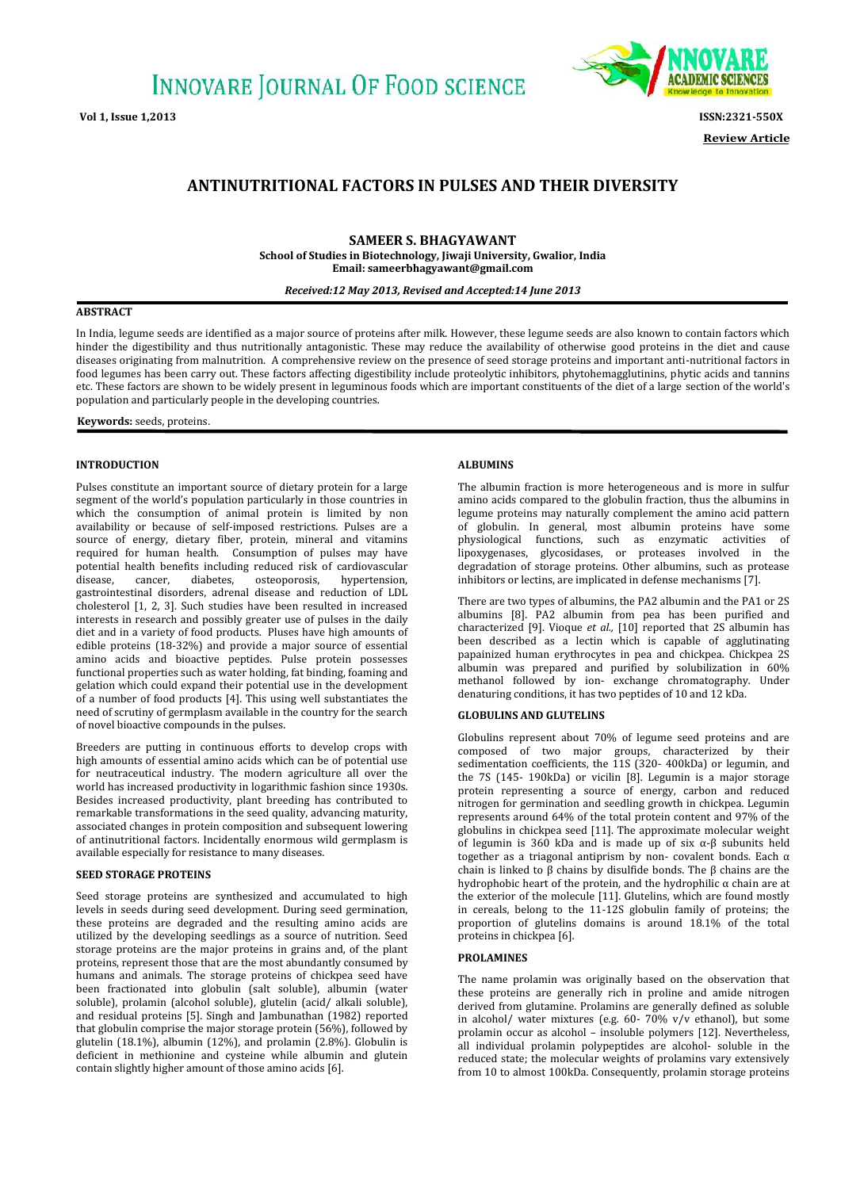

**Review Article**

# **ANTINUTRITIONAL FACTORS IN PULSES AND THEIR DIVERSITY**

**SAMEER S. BHAGYAWANT School of Studies in Biotechnology, Jiwaji University, Gwalior, India Email: sameerbhagyawant@gmail.com**

## *Received:12 May 2013, Revised and Accepted:14 June 2013*

## **ABSTRACT**

In India, legume seeds are identified as a major source of proteins after milk. However, these legume seeds are also known to contain factors which hinder the digestibility and thus nutritionally antagonistic. These may reduce the availability of otherwise good proteins in the diet and cause diseases originating from malnutrition. A comprehensive review on the presence of seed storage proteins and important anti-nutritional factors in food legumes has been carry out. These factors affecting digestibility include proteolytic inhibitors, phytohemagglutinins, phytic acids and tannins France of the sectors are shown to be widely present in leguminous foods which are important constituents of the diet of a large section of the world's population and particularly people in the developing countries.<br>**Keywo** population and particularly people in the developing countries.

#### **INTRODUCTION**

Pulses constitute an important source of dietary protein for a large segment of the world's population particularly in those countries in which the consumption of animal protein is limited by non availability or because of self-imposed restrictions. Pulses are a source of energy, dietary fiber, protein, mineral and vitamins required for human health. Consumption of pulses may have potential health benefits including reduced risk of cardiovascular disease, cancer, diabetes, osteoporosis, hypertension, disease, cancer, diabetes, osteoporosis, hypertension, gastrointestinal disorders, adrenal disease and reduction of LDL cholesterol [1, 2, 3]. Such studies have been resulted in increased interests in research and possibly greater use of pulses in the daily diet and in a variety of food products. Pluses have high amounts of edible proteins (18-32%) and provide a major source of essential amino acids and bioactive peptides. Pulse protein possesses functional properties such as water holding, fat binding, foaming and gelation which could expand their potential use in the development of a number of food products [4]. This using well substantiates the need of scrutiny of germplasm available in the country for the search of novel bioactive compounds in the pulses.

Breeders are putting in continuous efforts to develop crops with high amounts of essential amino acids which can be of potential use for neutraceutical industry. The modern agriculture all over the world has increased productivity in logarithmic fashion since 1930s. Besides increased productivity, plant breeding has contributed to remarkable transformations in the seed quality, advancing maturity, associated changes in protein composition and subsequent lowering of antinutritional factors. Incidentally enormous wild germplasm is available especially for resistance to many diseases.

#### **SEED STORAGE PROTEINS**

Seed storage proteins are synthesized and accumulated to high levels in seeds during seed development. During seed germination, these proteins are degraded and the resulting amino acids are utilized by the developing seedlings as a source of nutrition. Seed storage proteins are the major proteins in grains and, of the plant proteins, represent those that are the most abundantly consumed by humans and animals. The storage proteins of chickpea seed have been fractionated into globulin (salt soluble), albumin (water soluble), prolamin (alcohol soluble), glutelin (acid/ alkali soluble), and residual proteins [5]. Singh and Jambunathan (1982) reported that globulin comprise the major storage protein (56%), followed by glutelin (18.1%), albumin (12%), and prolamin (2.8%). Globulin is deficient in methionine and cysteine while albumin and glutein contain slightly higher amount of those amino acids [6].

#### **ALBUMINS**

The albumin fraction is more heterogeneous and is more in sulfur amino acids compared to the globulin fraction, thus the albumins in legume proteins may naturally complement the amino acid pattern of globulin. In general, most albumin proteins have some physiological functions, such as enzymatic activities of lipoxygenases, glycosidases, or proteases involved in the degradation of storage proteins. Other albumins, such as protease inhibitors or lectins, are implicated in defense mechanisms [7].

There are two types of albumins, the PA2 albumin and the PA1 or 2S albumins [8]. PA2 albumin from pea has been purified and characterized [9]. Vioque *et al.,* [10] reported that 2S albumin has been described as a lectin which is capable of agglutinating papainized human erythrocytes in pea and chickpea. Chickpea 2S albumin was prepared and purified by solubilization in 60% methanol followed by ion- exchange chromatography. Under denaturing conditions, it has two peptides of 10 and 12 kDa.

### **GLOBULINS AND GLUTELINS**

Globulins represent about 70% of legume seed proteins and are composed of two major groups, characterized by their sedimentation coefficients, the 11S (320- 400kDa) or legumin, and the 7S (145- 190kDa) or vicilin [8]. Legumin is a major storage protein representing a source of energy, carbon and reduced nitrogen for germination and seedling growth in chickpea. Legumin represents around 64% of the total protein content and 97% of the globulins in chickpea seed [11]. The approximate molecular weight of legumin is 360 kDa and is made up of six α-β subunits held together as a triagonal antiprism by non- covalent bonds. Each α chain is linked to β chains by disulfide bonds. The β chains are the hydrophobic heart of the protein, and the hydrophilic α chain are at the exterior of the molecule [11]. Glutelins, which are found mostly in cereals, belong to the 11-12S globulin family of proteins; the proportion of glutelins domains is around 18.1% of the total proteins in chickpea [6].

#### **PROLAMINES**

The name prolamin was originally based on the observation that these proteins are generally rich in proline and amide nitrogen derived from glutamine. Prolamins are generally defined as soluble in alcohol/ water mixtures (e.g. 60- 70% v/v ethanol), but some prolamin occur as alcohol – insoluble polymers [12]. Nevertheless, all individual prolamin polypeptides are alcohol- soluble in the reduced state; the molecular weights of prolamins vary extensively from 10 to almost 100kDa. Consequently, prolamin storage proteins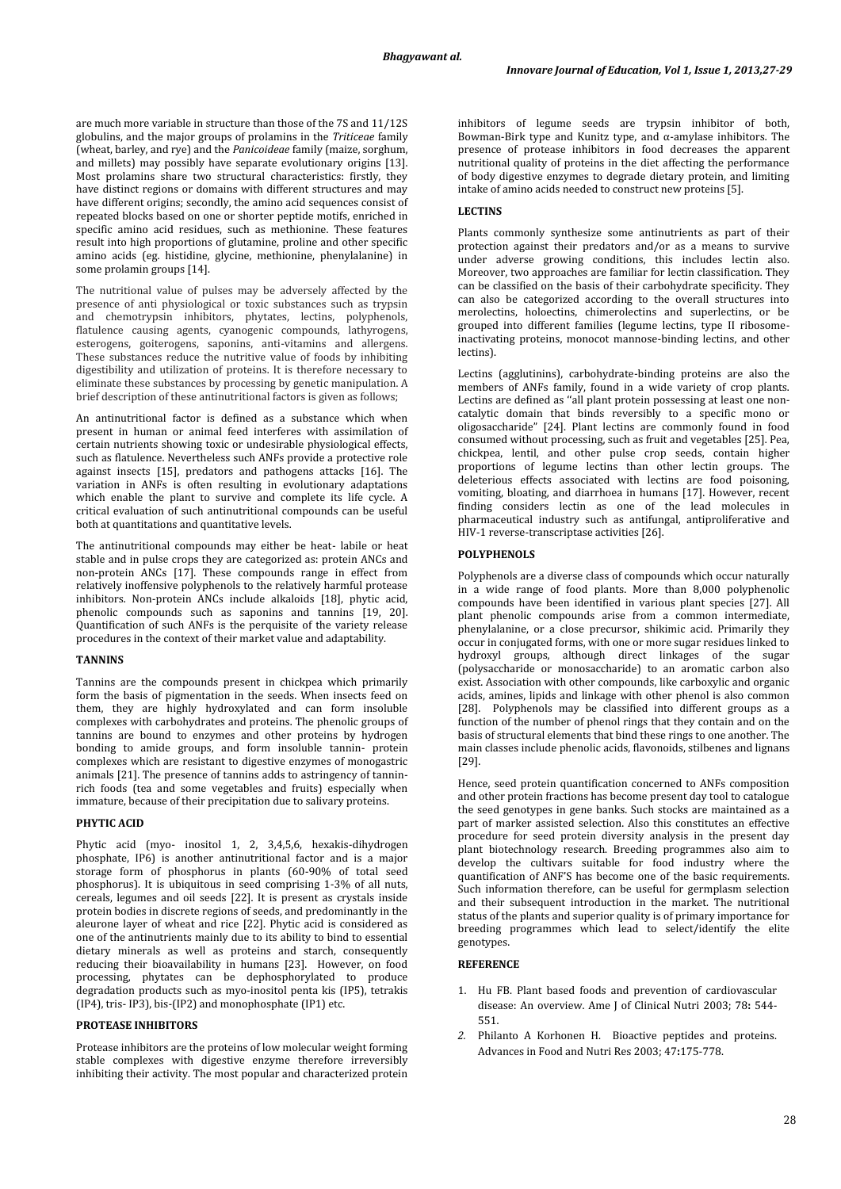are much more variable in structure than those of the 7S and 11/12S globulins, and the major groups of prolamins in the *Triticeae* family (wheat, barley, and rye) and the *Panicoideae* family (maize, sorghum, and millets) may possibly have separate evolutionary origins [13]. Most prolamins share two structural characteristics: firstly, they have distinct regions or domains with different structures and may have different origins; secondly, the amino acid sequences consist of repeated blocks based on one or shorter peptide motifs, enriched in specific amino acid residues, such as methionine. These features result into high proportions of glutamine, proline and other specific amino acids (eg. histidine, glycine, methionine, phenylalanine) in some prolamin groups [14].

The nutritional value of pulses may be adversely affected by the presence of anti physiological or toxic substances such as trypsin and chemotrypsin inhibitors, phytates, lectins, polyphenols, flatulence causing agents, cyanogenic compounds, lathyrogens, esterogens, goiterogens, saponins, anti-vitamins and allergens. These substances reduce the nutritive value of foods by inhibiting digestibility and utilization of proteins. It is therefore necessary to eliminate these substances by processing by genetic manipulation. A brief description of these antinutritional factors is given as follows;

An antinutritional factor is defined as a substance which when present in human or animal feed interferes with assimilation of certain nutrients showing toxic or undesirable physiological effects, such as flatulence. Nevertheless such ANFs provide a protective role against insects [15], predators and pathogens attacks [16]. The variation in ANFs is often resulting in evolutionary adaptations which enable the plant to survive and complete its life cycle. A critical evaluation of such antinutritional compounds can be useful both at quantitations and quantitative levels.

The antinutritional compounds may either be heat- labile or heat stable and in pulse crops they are categorized as: protein ANCs and non-protein ANCs [17]. These compounds range in effect from relatively inoffensive polyphenols to the relatively harmful protease inhibitors. Non-protein ANCs include alkaloids [18], phytic acid, phenolic compounds such as saponins and tannins [19, 20]. Quantification of such ANFs is the perquisite of the variety release procedures in the context of their market value and adaptability.

## **TANNINS**

Tannins are the compounds present in chickpea which primarily form the basis of pigmentation in the seeds. When insects feed on them, they are highly hydroxylated and can form insoluble complexes with carbohydrates and proteins. The phenolic groups of tannins are bound to enzymes and other proteins by hydrogen bonding to amide groups, and form insoluble tannin- protein complexes which are resistant to digestive enzymes of monogastric animals [21]. The presence of tannins adds to astringency of tannin rich foods (tea and some vegetables and fruits) especially when immature, because of their precipitation due to salivary proteins.

#### **PHYTIC ACID**

Phytic acid (myo- inositol 1, 2, 3,4,5,6, hexakis-dihydrogen phosphate, IP6) is another antinutritional factor and is a major storage form of phosphorus in plants (60-90% of total seed phosphorus). It is ubiquitous in seed comprising 1-3% of all nuts. cereals, legumes and oil seeds [22]. It is present as crystals inside protein bodies in discrete regions of seeds, and predominantly in the aleurone layer of wheat and rice [22]. Phytic acid is considered as one of the antinutrients mainly due to its ability to bind to essential dietary minerals as well as proteins and starch, consequently reducing their bioavailability in humans [23]. However, on food processing, phytates can be dephosphorylated to produce degradation products such as myo-inositol penta kis (IP5), tetrakis (IP4), tris- IP3), bis-(IP2) and monophosphate (IP1) etc.

## **PROTEASE INHIBITORS**

Protease inhibitors are the proteins of low molecular weight forming stable complexes with digestive enzyme therefore irreversibly inhibiting their activity. The most popular and characterized protein inhibitors of legume seeds are trypsin inhibitor of both, Bowman-Birk type and Kunitz type, and α-amylase inhibitors. The presence of protease inhibitors in food decreases the apparent nutritional quality of proteins in the diet affecting the performance of body digestive enzymes to degrade dietary protein, and limiting intake of amino acids needed to construct new proteins [5].

## **LECTINS**

Plants commonly synthesize some antinutrients as part of their protection against their predators and/or as a means to survive under adverse growing conditions, this includes lectin also. Moreover, two approaches are familiar for lectin classification. They can be classified on the basis of their carbohydrate specificity. They can also be categorized according to the overall structures into merolectins, holoectins, chimerolectins and superlectins, or be grouped into different families (legume lectins, type II ribosomeinactivating proteins, monocot mannose-binding lectins, and other lectins).

Lectins (agglutinins), carbohydrate-binding proteins are also the members of ANFs family, found in a wide variety of crop plants. Lectins are defined as ''all plant protein possessing at least one non catalytic domain that binds reversibly to a specific mono or oligosaccharide" [24]. Plant lectins are commonly found in food consumed without processing, such as fruit and vegetables [25]. Pea, chickpea, lentil, and other pulse crop seeds, contain higher proportions of legume lectins than other lectin groups. The deleterious effects associated with lectins are food poisoning, vomiting, bloating, and diarrhoea in humans [17]. However, recent finding considers lectin as one of the lead molecules in pharmaceutical industry such as antifungal, antiproliferative and HIV-1 reverse-transcriptase activities [26].

#### **POLYPHENOLS**

Polyphenols are a diverse class of compounds which occur naturally in a wide range of food plants. More than  $8,000$  polyphenolic compounds have been identified in various plant species [27]. All plant phenolic compounds arise from a common intermediate, phenylalanine, or a close precursor, shikimic acid. Primarily they occur in conjugated forms, with one or more sugar residues linked to hydroxyl groups, although direct linkages of the sugar (polysaccharide or monosaccharide) to an aromatic carbon also exist. Association with other compounds, like carboxylic and organic acids, amines, lipids and linkage with other phenol is also common [28]. Polyphenols may be classified into different groups as a function of the number of phenol rings that they contain and on the basis of structural elements that bind these rings to one another. The main classes include phenolic acids, flavonoids, stilbenes and lignans [29].

Hence, seed protein quantification concerned to ANFs composition and other protein fractions has become present day tool to catalogue the seed genotypes in gene banks. Such stocks are maintained as a part of marker assisted selection. Also this constitutes an effective procedure for seed protein diversity analysis in the present day plant biotechnology research. Breeding programmes also aim to develop the cultivars suitable for food industry where the quantification of ANF'S has become one of the basic requirements. Such information therefore, can be useful for germplasm selection and their subsequent introduction in the market. The nutritional status of the plants and superior quality is of primary importance for breeding programmes which lead to select/identify the elite genotypes.

## **REFERENCE**

- 1. Hu FB. Plant based foods and prevention of cardiovascular disease: An overview. Ame J of Clinical Nutri 2003; 78**:** 544- 551.
- *2.* Philanto A Korhonen H. Bioactive peptides and proteins. Advances in Food and Nutri Res 2003; 47**:**175-778.